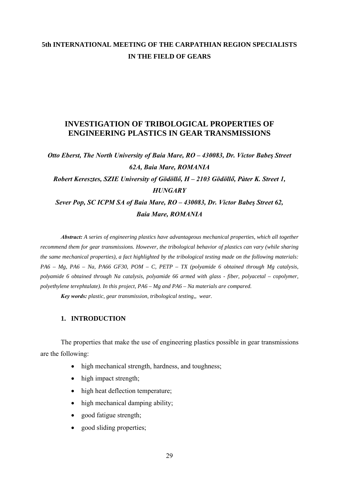## **5th INTERNATIONAL MEETING OF THE CARPATHIAN REGION SPECIALISTS IN THE FIELD OF GEARS**

## **INVESTIGATION OF TRIBOLOGICAL PROPERTIES OF ENGINEERING PLASTICS IN GEAR TRANSMISSIONS**

# *Otto Eberst, The North University of Baia Mare, RO – 430083, Dr. Victor Babeş Street 62A, Baia Mare, ROMANIA Robert Keresztes, SZIE University of Gödöllő, H – 2103 Gödöllő, Pàter K. Street 1, HUNGARY Sever Pop, SC ICPM SA of Baia Mare, RO – 430083, Dr. Victor Babeş Street 62, Baia Mare, ROMANIA*

*Abstract: A series of engineering plastics have advantageous mechanical properties, which all together recommend them for gear transmissions. However, the tribological behavior of plastics can vary (while sharing the same mechanical properties), a fact highlighted by the tribological testing made on the following materials: PA6 – Mg, PA6 – Na, PA66 GF30, POM – C, PETP – TX (polyamide 6 obtained through Mg catalysis, polyamide 6 obtained through Na catalysis, polyamide 66 armed with glass - fiber, polyacetal – copolymer, polyethylene terephtalate). In this project, PA6 – Mg and PA6 – Na materials are compared.* 

*Key words: plastic, gear transmission, tribological testing,, wear.*

#### **1. INTRODUCTION**

The properties that make the use of engineering plastics possible in gear transmissions are the following:

- high mechanical strength, hardness, and toughness;
- high impact strength;
- high heat deflection temperature:
- high mechanical damping ability:
- good fatigue strength;
- good sliding properties;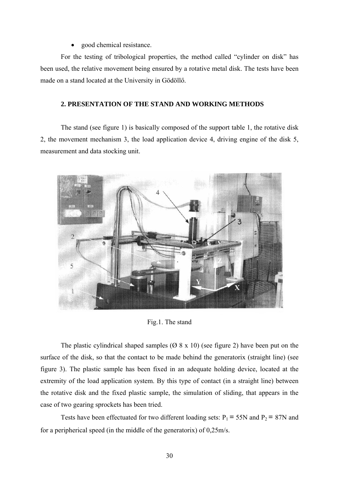#### • good chemical resistance.

For the testing of tribological properties, the method called "cylinder on disk" has been used, the relative movement being ensured by a rotative metal disk. The tests have been made on a stand located at the University in Gödöllő.

#### **2. PRESENTATION OF THE STAND AND WORKING METHODS**

The stand (see figure 1) is basically composed of the support table 1, the rotative disk 2, the movement mechanism 3, the load application device 4, driving engine of the disk 5, measurement and data stocking unit.



Fig.1. The stand

The plastic cylindrical shaped samples  $(Ø 8 x 10)$  (see figure 2) have been put on the surface of the disk, so that the contact to be made behind the generatorix (straight line) (see figure 3). The plastic sample has been fixed in an adequate holding device, located at the extremity of the load application system. By this type of contact (in a straight line) between the rotative disk and the fixed plastic sample, the simulation of sliding, that appears in the case of two gearing sprockets has been tried.

Tests have been effectuated for two different loading sets:  $P_1 = 55N$  and  $P_2 = 87N$  and for a peripherical speed (in the middle of the generatorix) of 0,25m/s.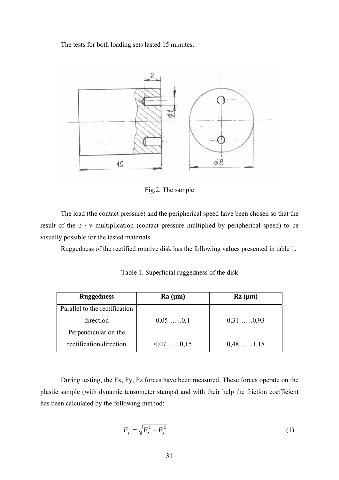The tests for both loading sets lasted 15 minutes.



Fig.2. The sample

The load (the contact pressure) and the peripherical speed have been chosen so that the result of the  $p \cdot v$  multiplication (contact pressure multiplied by peripherical speed) to be visually possible for the tested materials.

Ruggedness of the rectified rotative disk has the following values presented in table 1.

| <b>Ruggedness</b>             | Ra (µm)    | $\mathbf{Rz}$ (µm) |
|-------------------------------|------------|--------------------|
| Parallel to the rectification |            |                    |
| direction                     | 0,05,,0,1  | $0,31$ 0,93        |
| Perpendicular on the          |            |                    |
| rectification direction       | 0,07,,0,15 | 0,48,1,18          |

Table 1. Superficial ruggedness of the disk

During testing, the Fx, Fy, Fz forces have been measured. These forces operate on the plastic sample (with dynamic tensometer stamps) and with their help the friction coefficient has been calculated by the following method:

$$
F_f = \sqrt{F_x^2 + F_y^2}
$$
 (1)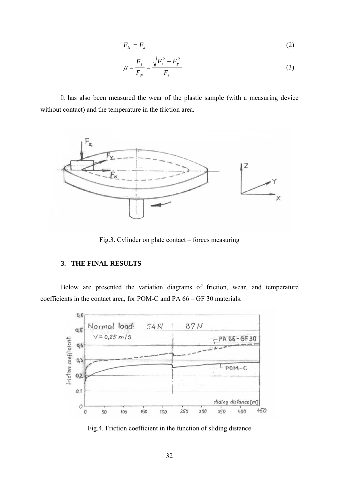$$
F_N = F_z \tag{2}
$$

$$
\mu = \frac{F_f}{F_N} = \frac{\sqrt{F_x^2 + F_y^2}}{F_z}
$$
\n(3)

It has also been measured the wear of the plastic sample (with a measuring device without contact) and the temperature in the friction area.



Fig.3. Cylinder on plate contact – forces measuring

## **3. THE FINAL RESULTS**

Below are presented the variation diagrams of friction, wear, and temperature coefficients in the contact area, for POM-C and PA 66 – GF 30 materials.



Fig.4. Friction coefficient in the function of sliding distance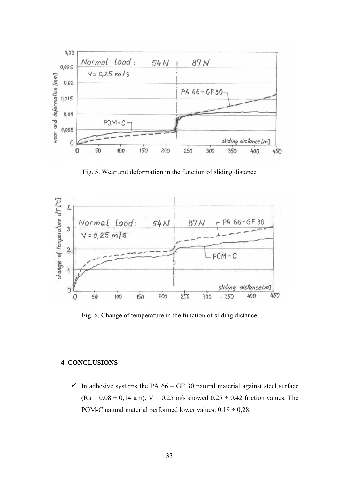

Fig. 5. Wear and deformation in the function of sliding distance



Fig. 6. Change of temperature in the function of sliding distance

### **4. CONCLUSIONS**

 $\checkmark$  In adhesive systems the PA 66 – GF 30 natural material against steel surface  $(Ra = 0.08 \div 0.14 \mu m)$ ,  $V = 0.25 \text{ m/s}$  showed  $0.25 \div 0.42 \text{ friction}$  values. The POM-C natural material performed lower values:  $0.18 \div 0.28$ .